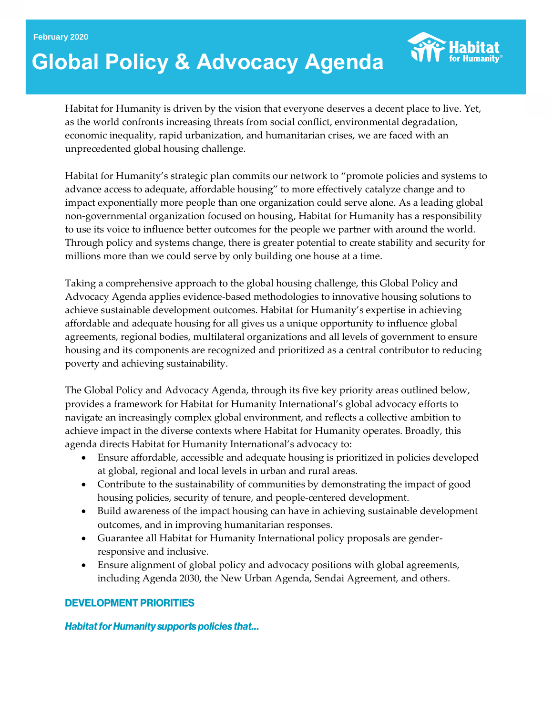#### **February 2020**

# **Global Policy & Advocacy Agenda**



Habitat for Humanity is driven by the vision that everyone deserves a decent place to live. Yet, as the world confronts increasing threats from social conflict, environmental degradation, economic inequality, rapid urbanization, and humanitarian crises, we are faced with an unprecedented global housing challenge.

Habitat for Humanity's strategic plan commits our network to "promote policies and systems to advance access to adequate, affordable housing" to more effectively catalyze change and to impact exponentially more people than one organization could serve alone. As a leading global non-governmental organization focused on housing, Habitat for Humanity has a responsibility to use its voice to influence better outcomes for the people we partner with around the world. Through policy and systems change, there is greater potential to create stability and security for millions more than we could serve by only building one house at a time.

Taking a comprehensive approach to the global housing challenge, this Global Policy and Advocacy Agenda applies evidence-based methodologies to innovative housing solutions to achieve sustainable development outcomes. Habitat for Humanity's expertise in achieving affordable and adequate housing for all gives us a unique opportunity to influence global agreements, regional bodies, multilateral organizations and all levels of government to ensure housing and its components are recognized and prioritized as a central contributor to reducing poverty and achieving sustainability.

The Global Policy and Advocacy Agenda, through its five key priority areas outlined below, provides a framework for Habitat for Humanity International's global advocacy efforts to navigate an increasingly complex global environment, and reflects a collective ambition to achieve impact in the diverse contexts where Habitat for Humanity operates. Broadly, this agenda directs Habitat for Humanity International's advocacy to:

- Ensure affordable, accessible and adequate housing is prioritized in policies developed at global, regional and local levels in urban and rural areas.
- Contribute to the sustainability of communities by demonstrating the impact of good housing policies, security of tenure, and people-centered development.
- Build awareness of the impact housing can have in achieving sustainable development outcomes, and in improving humanitarian responses.
- Guarantee all Habitat for Humanity International policy proposals are genderresponsive and inclusive.
- Ensure alignment of global policy and advocacy positions with global agreements, including Agenda 2030, the New Urban Agenda, Sendai Agreement, and others.

#### **DEVELOPMENT PRIORITIES**

**Habitat for Humanity supports policies that...**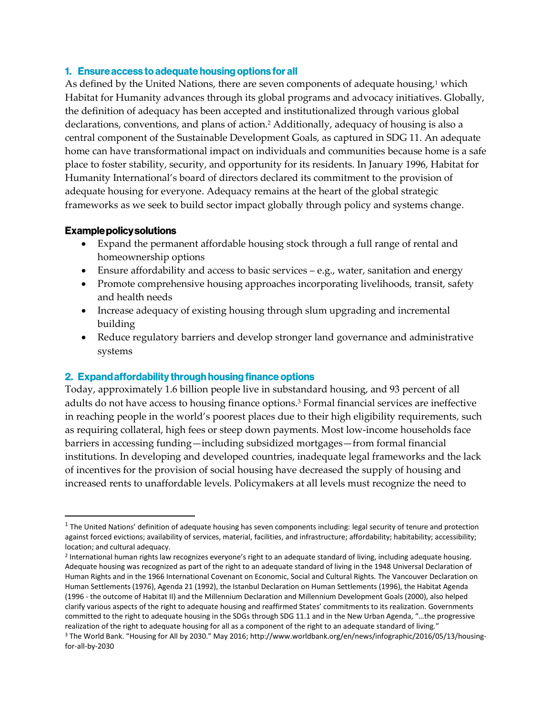#### 1. Ensure access to adequate housing options for all

As defined by the United Nations, there are seven components of adequate housing,<sup>1</sup> which Habitat for Humanity advances through its global programs and advocacy initiatives. Globally, the definition of adequacy has been accepted and institutionalized through various global declarations, conventions, and plans of action.<sup>2</sup> Additionally, adequacy of housing is also a central component of the Sustainable Development Goals, as captured in SDG 11. An adequate home can have transformational impact on individuals and communities because home is a safe place to foster stability, security, and opportunity for its residents. In January 1996, Habitat for Humanity International's board of directors declared its commitment to the provision of adequate housing for everyone. Adequacy remains at the heart of the global strategic frameworks as we seek to build sector impact globally through policy and systems change.

#### **Example policy solutions**

 $\overline{\phantom{a}}$ 

- Expand the permanent affordable housing stock through a full range of rental and homeownership options
- Ensure affordability and access to basic services  $-e.g.,$  water, sanitation and energy
- Promote comprehensive housing approaches incorporating livelihoods, transit, safety and health needs
- Increase adequacy of existing housing through slum upgrading and incremental building
- Reduce regulatory barriers and develop stronger land governance and administrative systems

#### 2. Expand affordability through housing finance options

Today, approximately 1.6 billion people live in substandard housing, and 93 percent of all adults do not have access to housing finance options.<sup>3</sup> Formal financial services are ineffective in reaching people in the world's poorest places due to their high eligibility requirements, such as requiring collateral, high fees or steep down payments. Most low-income households face barriers in accessing funding—including subsidized mortgages—from formal financial institutions. In developing and developed countries, inadequate legal frameworks and the lack of incentives for the provision of social housing have decreased the supply of housing and increased rents to unaffordable levels. Policymakers at all levels must recognize the need to

 $<sup>1</sup>$  The United Nations' definition of adequate housing has seven components including: legal security of tenure and protection</sup> against forced evictions; availability of services, material, facilities, and infrastructure; affordability; habitability; accessibility; location; and cultural adequacy.

<sup>2</sup> International human rights law recognizes everyone's right to an adequate standard of living, including adequate housing. Adequate housing was recognized as part of the right to an adequate standard of living in the 1948 Universal Declaration of Human Rights and in the 1966 International Covenant on Economic, Social and Cultural Rights. The Vancouver Declaration on Human Settlements (1976), Agenda 21 (1992), the Istanbul Declaration on Human Settlements (1996), the Habitat Agenda (1996 - the outcome of Habitat II) and the Millennium Declaration and Millennium Development Goals (2000), also helped clarify various aspects of the right to adequate housing and reaffirmed States' commitments to its realization. Governments committed to the right to adequate housing in the SDGs through SDG 11.1 and in the New Urban Agenda, "…the progressive realization of the right to adequate housing for all as a component of the right to an adequate standard of living." <sup>3</sup> The World Bank. "Housing for All by 2030." May 2016; http://www.worldbank.org/en/news/infographic/2016/05/13/housingfor-all-by-2030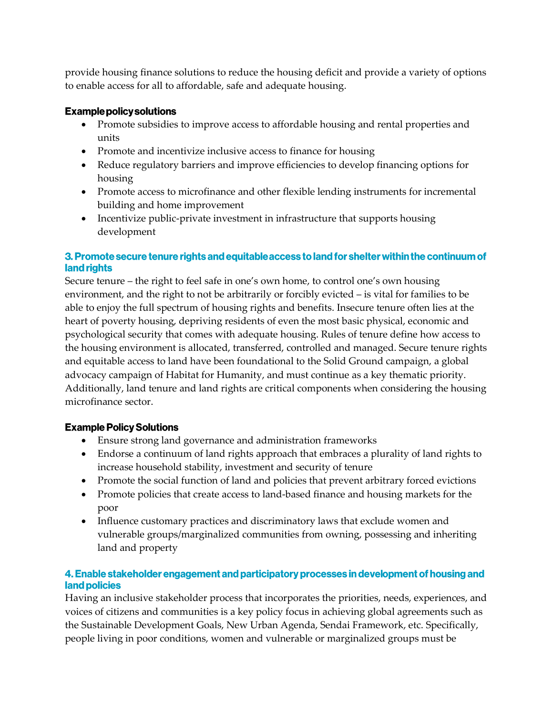provide housing finance solutions to reduce the housing deficit and provide a variety of options to enable access for all to affordable, safe and adequate housing.

#### **Example policy solutions**

- Promote subsidies to improve access to affordable housing and rental properties and units
- Promote and incentivize inclusive access to finance for housing
- Reduce regulatory barriers and improve efficiencies to develop financing options for housing
- Promote access to microfinance and other flexible lending instruments for incremental building and home improvement
- Incentivize public-private investment in infrastructure that supports housing development

# 3. Promote secure tenure rights and equitable access to land for shelter within the continuum of land rights

Secure tenure – the right to feel safe in one's own home, to control one's own housing environment, and the right to not be arbitrarily or forcibly evicted – is vital for families to be able to enjoy the full spectrum of housing rights and benefits. Insecure tenure often lies at the heart of poverty housing, depriving residents of even the most basic physical, economic and psychological security that comes with adequate housing. Rules of tenure define how access to the housing environment is allocated, transferred, controlled and managed. Secure tenure rights and equitable access to land have been foundational to the Solid Ground campaign, a global advocacy campaign of Habitat for Humanity, and must continue as a key thematic priority. Additionally, land tenure and land rights are critical components when considering the housing microfinance sector.

# **Example Policy Solutions**

- Ensure strong land governance and administration frameworks
- Endorse a continuum of land rights approach that embraces a plurality of land rights to increase household stability, investment and security of tenure
- Promote the social function of land and policies that prevent arbitrary forced evictions
- Promote policies that create access to land-based finance and housing markets for the poor
- Influence customary practices and discriminatory laws that exclude women and vulnerable groups/marginalized communities from owning, possessing and inheriting land and property

# 4. Enable stakeholder engagement and participatory processes in development of housing and land policies

Having an inclusive stakeholder process that incorporates the priorities, needs, experiences, and voices of citizens and communities is a key policy focus in achieving global agreements such as the Sustainable Development Goals, New Urban Agenda, Sendai Framework, etc. Specifically, people living in poor conditions, women and vulnerable or marginalized groups must be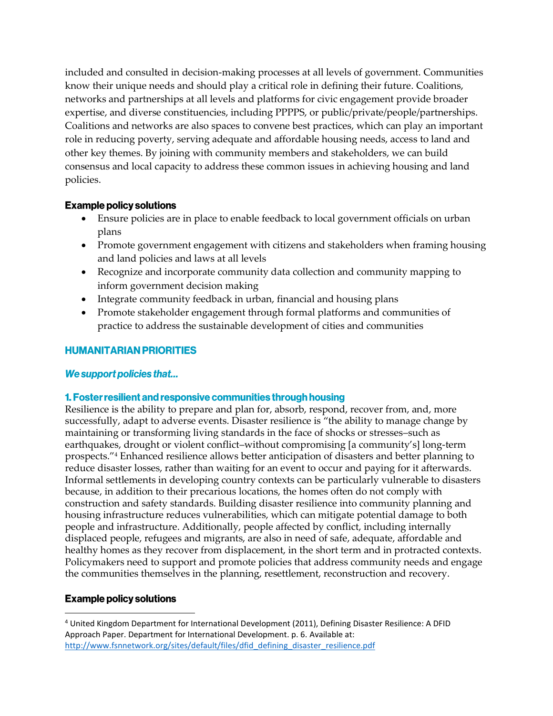included and consulted in decision-making processes at all levels of government. Communities know their unique needs and should play a critical role in defining their future. Coalitions, networks and partnerships at all levels and platforms for civic engagement provide broader expertise, and diverse constituencies, including PPPPS, or public/private/people/partnerships. Coalitions and networks are also spaces to convene best practices, which can play an important role in reducing poverty, serving adequate and affordable housing needs, access to land and other key themes. By joining with community members and stakeholders, we can build consensus and local capacity to address these common issues in achieving housing and land policies.

# **Example policy solutions**

- Ensure policies are in place to enable feedback to local government officials on urban plans
- Promote government engagement with citizens and stakeholders when framing housing and land policies and laws at all levels
- Recognize and incorporate community data collection and community mapping to inform government decision making
- Integrate community feedback in urban, financial and housing plans
- Promote stakeholder engagement through formal platforms and communities of practice to address the sustainable development of cities and communities

# **HUMANITARIAN PRIORITIES**

# We support policies that...

# 1. Foster resilient and responsive communities through housing

Resilience is the ability to prepare and plan for, absorb, respond, recover from, and, more successfully, adapt to adverse events. Disaster resilience is "the ability to manage change by maintaining or transforming living standards in the face of shocks or stresses–such as earthquakes, drought or violent conflict–without compromising [a community's] long-term prospects."<sup>4</sup> Enhanced resilience allows better anticipation of disasters and better planning to reduce disaster losses, rather than waiting for an event to occur and paying for it afterwards. Informal settlements in developing country contexts can be particularly vulnerable to disasters because, in addition to their precarious locations, the homes often do not comply with construction and safety standards. Building disaster resilience into community planning and housing infrastructure reduces vulnerabilities, which can mitigate potential damage to both people and infrastructure. Additionally, people affected by conflict, including internally displaced people, refugees and migrants, are also in need of safe, adequate, affordable and healthy homes as they recover from displacement, in the short term and in protracted contexts. Policymakers need to support and promote policies that address community needs and engage the communities themselves in the planning, resettlement, reconstruction and recovery.

# **Example policy solutions**

 $\overline{a}$ <sup>4</sup> United Kingdom Department for International Development (2011), Defining Disaster Resilience: A DFID Approach Paper. Department for International Development. p. 6. Available at: [http://www.fsnnetwork.org/sites/default/files/dfid\\_defining\\_disaster\\_resilience.pdf](about:blank)